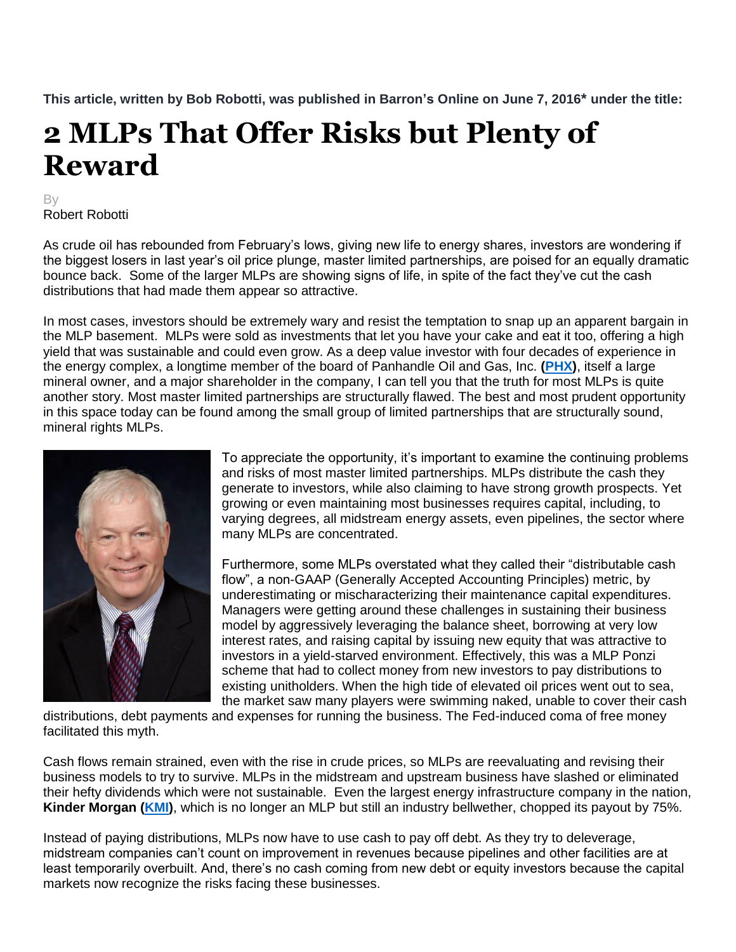**This article, written by Bob Robotti, was published in Barron's Online on June 7, 2016\* under the title:**

## **2 MLPs That Offer Risks but Plenty of Reward**

## By Robert Robotti

As crude oil has rebounded from February's lows, giving new life to energy shares, investors are wondering if the biggest losers in last year's oil price plunge, master limited partnerships, are poised for an equally dramatic bounce back. Some of the larger MLPs are showing signs of life, in spite of the fact they've cut the cash distributions that had made them appear so attractive.

In most cases, investors should be extremely wary and resist the temptation to snap up an apparent bargain in the MLP basement. MLPs were sold as investments that let you have your cake and eat it too, offering a high yield that was sustainable and could even grow. As a deep value investor with four decades of experience in the energy complex, a longtime member of the board of Panhandle Oil and Gas, Inc. **[\(PHX\)](http://finance.yahoo.com/q?s=PHX&ql=0)**, itself a large mineral owner, and a major shareholder in the company, I can tell you that the truth for most MLPs is quite another story. Most master limited partnerships are structurally flawed. The best and most prudent opportunity in this space today can be found among the small group of limited partnerships that are structurally sound, mineral rights MLPs.



To appreciate the opportunity, it's important to examine the continuing problems and risks of most master limited partnerships. MLPs distribute the cash they generate to investors, while also claiming to have strong growth prospects. Yet growing or even maintaining most businesses requires capital, including, to varying degrees, all midstream energy assets, even pipelines, the sector where many MLPs are concentrated.

Furthermore, some MLPs overstated what they called their "distributable cash flow", a non-GAAP (Generally Accepted Accounting Principles) metric, by underestimating or mischaracterizing their maintenance capital expenditures. Managers were getting around these challenges in sustaining their business model by aggressively leveraging the balance sheet, borrowing at very low interest rates, and raising capital by issuing new equity that was attractive to investors in a yield-starved environment. Effectively, this was a MLP Ponzi scheme that had to collect money from new investors to pay distributions to existing unitholders. When the high tide of elevated oil prices went out to sea, the market saw many players were swimming naked, unable to cover their cash

distributions, debt payments and expenses for running the business. The Fed-induced coma of free money facilitated this myth.

Cash flows remain strained, even with the rise in crude prices, so MLPs are reevaluating and revising their business models to try to survive. MLPs in the midstream and upstream business have slashed or eliminated their hefty dividends which were not sustainable. Even the largest energy infrastructure company in the nation, **Kinder Morgan [\(KMI\)](http://finance.yahoo.com/q?s=KMI&ql=0)**, which is no longer an MLP but still an industry bellwether, chopped its payout by 75%.

Instead of paying distributions, MLPs now have to use cash to pay off debt. As they try to deleverage, midstream companies can't count on improvement in revenues because pipelines and other facilities are at least temporarily overbuilt. And, there's no cash coming from new debt or equity investors because the capital markets now recognize the risks facing these businesses.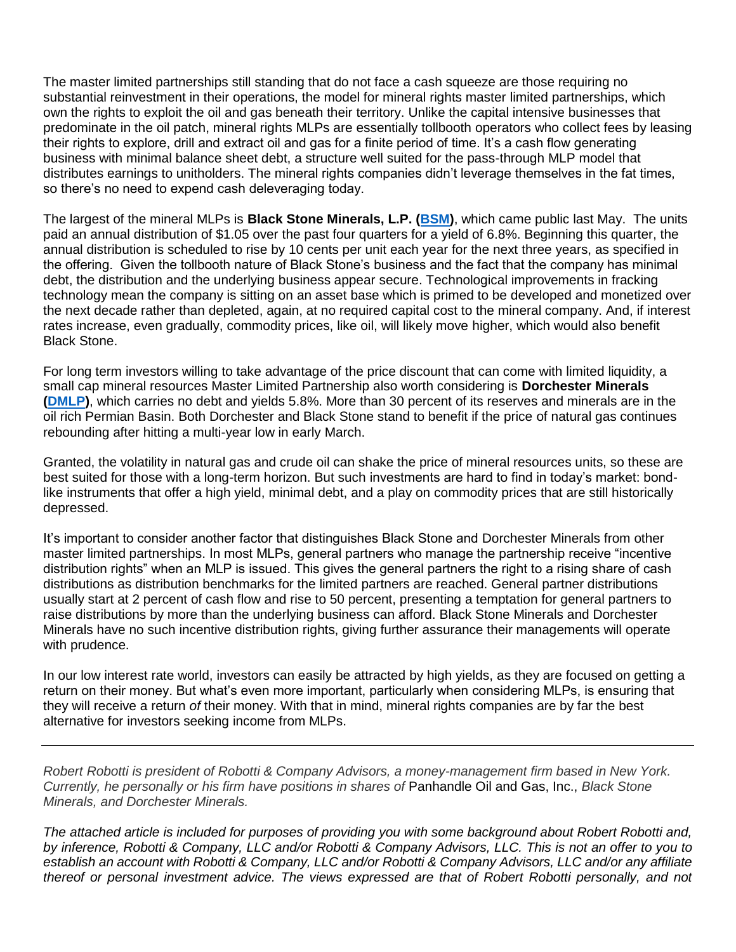The master limited partnerships still standing that do not face a cash squeeze are those requiring no substantial reinvestment in their operations, the model for mineral rights master limited partnerships, which own the rights to exploit the oil and gas beneath their territory. Unlike the capital intensive businesses that predominate in the oil patch, mineral rights MLPs are essentially tollbooth operators who collect fees by leasing their rights to explore, drill and extract oil and gas for a finite period of time. It's a cash flow generating business with minimal balance sheet debt, a structure well suited for the pass-through MLP model that distributes earnings to unitholders. The mineral rights companies didn't leverage themselves in the fat times, so there's no need to expend cash deleveraging today.

The largest of the mineral MLPs is **Black Stone Minerals, L.P. [\(BSM\)](http://finance.yahoo.com/q?s=BSM&ql=0)**, which came public last May. The units paid an annual distribution of \$1.05 over the past four quarters for a yield of 6.8%. Beginning this quarter, the annual distribution is scheduled to rise by 10 cents per unit each year for the next three years, as specified in the offering. Given the tollbooth nature of Black Stone's business and the fact that the company has minimal debt, the distribution and the underlying business appear secure. Technological improvements in fracking technology mean the company is sitting on an asset base which is primed to be developed and monetized over the next decade rather than depleted, again, at no required capital cost to the mineral company. And, if interest rates increase, even gradually, commodity prices, like oil, will likely move higher, which would also benefit Black Stone.

For long term investors willing to take advantage of the price discount that can come with limited liquidity, a small cap mineral resources Master Limited Partnership also worth considering is **Dorchester Minerals [\(DMLP\)](http://finance.yahoo.com/q?s=dmlp&ql=0)**, which carries no debt and yields 5.8%. More than 30 percent of its reserves and minerals are in the oil rich Permian Basin. Both Dorchester and Black Stone stand to benefit if the price of natural gas continues rebounding after hitting a multi-year low in early March.

Granted, the volatility in natural gas and crude oil can shake the price of mineral resources units, so these are best suited for those with a long-term horizon. But such investments are hard to find in today's market: bondlike instruments that offer a high yield, minimal debt, and a play on commodity prices that are still historically depressed.

It's important to consider another factor that distinguishes Black Stone and Dorchester Minerals from other master limited partnerships. In most MLPs, general partners who manage the partnership receive "incentive distribution rights" when an MLP is issued. This gives the general partners the right to a rising share of cash distributions as distribution benchmarks for the limited partners are reached. General partner distributions usually start at 2 percent of cash flow and rise to 50 percent, presenting a temptation for general partners to raise distributions by more than the underlying business can afford. Black Stone Minerals and Dorchester Minerals have no such incentive distribution rights, giving further assurance their managements will operate with prudence.

In our low interest rate world, investors can easily be attracted by high yields, as they are focused on getting a return on their money. But what's even more important, particularly when considering MLPs, is ensuring that they will receive a return *of* their money. With that in mind, mineral rights companies are by far the best alternative for investors seeking income from MLPs.

*Robert Robotti is president of Robotti & Company Advisors, a money-management firm based in New York. Currently, he personally or his firm have positions in shares of* Panhandle Oil and Gas, Inc., *Black Stone Minerals, and Dorchester Minerals.* 

*The attached article is included for purposes of providing you with some background about Robert Robotti and, by inference, Robotti & Company, LLC and/or Robotti & Company Advisors, LLC. This is not an offer to you to establish an account with Robotti & Company, LLC and/or Robotti & Company Advisors, LLC and/or any affiliate thereof or personal investment advice. The views expressed are that of Robert Robotti personally, and not*